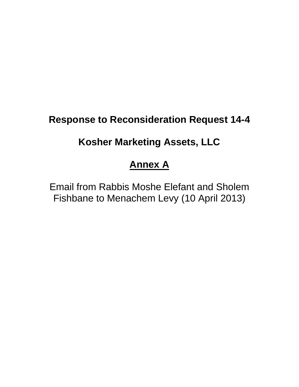## **Response to Reconsideration Request 14-4**

### **Kosher Marketing Assets, LLC**

# **Annex A**

Email from Rabbis Moshe Elefant and Sholem Fishbane to Menachem Levy (10 April 2013)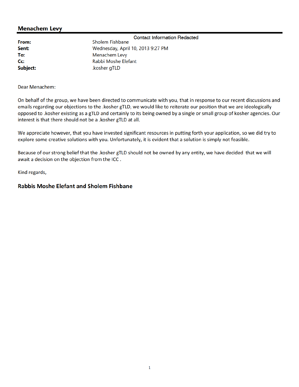### **Menachem Levy**

|          | <b>Contact Information Redacted</b> |
|----------|-------------------------------------|
| From:    | <b>Sholem Fishbane</b>              |
| Sent:    | Wednesday, April 10, 2013 9:27 PM   |
| To:      | Menachem Levy                       |
| $Cc$ :   | Rabbi Moshe Elefant                 |
| Subject: | .kosher gTLD                        |

Dear Menachem:

On behalf of the group, we have been directed to communicate with you, that in response to our recent discussions and emails regarding our objections to the .kosher gTLD, we would like to reiterate our position that we are ideologically opposed to .kosher existing as a gTLD and certainly to its being owned by a single or small group of kosher agencies. Our interest is that there should not be a .kosher gTLD at all.

We appreciate however, that you have invested significant resources in putting forth your application, so we did try to explore some creative solutions with you. Unfortunately, it is evident that a solution is simply not feasible.

Because of our strong belief that the .kosher gTLD should not be owned by any entity, we have decided that we will await a decision on the objection from the ICC.

Kind regards,

#### **Rabbis Moshe Elefant and Sholem Fishbane**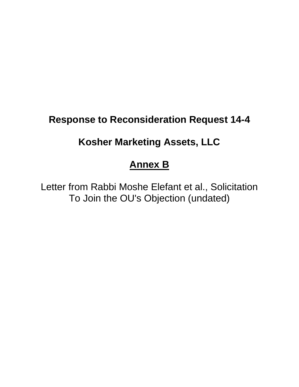## **Response to Reconsideration Request 14-4**

### **Kosher Marketing Assets, LLC**

### **Annex B**

Letter from Rabbi Moshe Elefant et al., Solicitation To Join the OU's Objection (undated)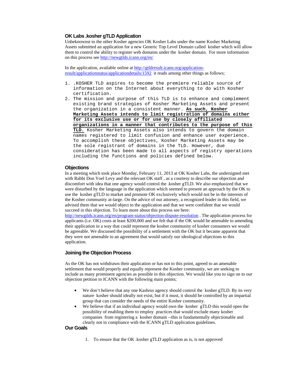#### **OK Labs .kosher gTLD Application**

Unbeknownst to the other Kosher agencies OK Kosher Labs under the name Kosher Marketing Assets submitted an application for a new Generic Top Level Domain called kosher which will allow them to control the ability to register web domains under the kosher domain. For more information on this process see http://newgtlds.icann.org/en/

In the application, available online at http://gtldresult.icann.org/applicationresult/applicationstatus/applicationdetails/1592 it reads among other things as follows;

- 1. .KOSHER TLD aspires to become the premiere reliable source of information on the Internet about everything to do with Kosher certification.
- 2. The mission and purpose of this TLD is to enhance and complement existing brand strategies of Kosher Marketing Assets and present the organization in a consistent manner. **As such, Kosher Marketing Assets intends to limit registration of domains either for its exclusive use or for use by closely affiliated organizations in a manner that contributes to the purpose of this TLD.** Kosher Marketing Assets also intends to govern the domain names registered to limit confusion and enhance user experience. To accomplish these objectives, Kosher Marketing Assets may be the sole registrant of domains in the TLD. However, due consideration has been made to all aspects of registry operations including the functions and policies defined below.

#### **Objections**

In a meeting which took place Monday, February 11, 2013 at OK Kosher Labs, the undersigned met with Rabbi Don Yoel Levy and the relevant OK staff , as a courtesy to describe our objection and discomfort with idea that one agency would control the .kosher gTLD. We also emphasized that we were disturbed by the language in the application which seemed to present an approach by the OK to use the kosher gTLD to market and promote OK exclusively which would not be in the interests of the Kosher community at-large. On the advice of our attorney, a recognized leader in this field, we advised them that we would object to the application and that we were confident that we would succeed in this objection. To learn more about this process see here:

http://newgtlds.icann.org/en/program-status/objection-dispute-resolution . The application process for applicants (i.e. OK) costs at least \$200,000 and we felt that if the OK would be amenable to amending their application in a way that could represent the kosher community of kosher consumers we would be agreeable. We discussed the possibility of a settlement with the OK but it became apparent that they were not amenable to an agreement that would satisfy our ideological objections to this application.

#### **Joining the Objection Process**

As the OK has not withdrawn their application or has not to this point, agreed to an amenable settlement that would properly and equally represent the Kosher community, we are seeking to include as many prominent agencies as possible in this objection. We would like you to sign on to our objection petition to ICANN with the following main points;

- We don't believe that any one Kashrus agency should control the kosher gTLD. By its very nature kosher should ideally not exist, but if it must, it should be controlled by an impartial group that can consider the needs of the entire Kosher community.
- We believe that if an individual agency would own the kosher gTLD this would open the possibility of enabling them to employ practices that would exclude many kosher companies from registering a kosher domain --this is fundamentally objectionable and clearly not in compliance with the ICANN gTLD application guidelines.

#### **Our Goals**

1. To ensure that the OK .kosher gTLD application as is, is not approved